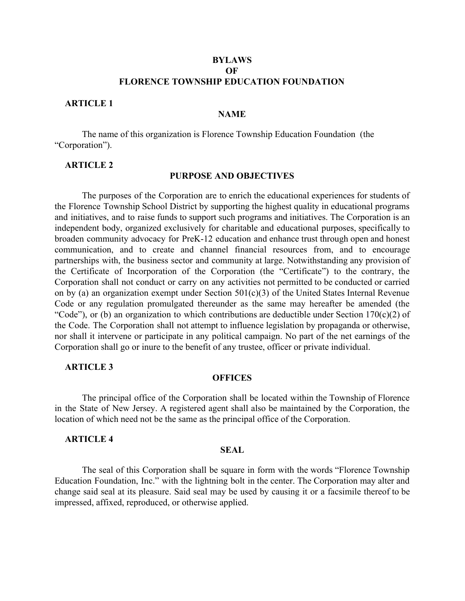## **BYLAWS OF FLORENCE TOWNSHIP EDUCATION FOUNDATION**

#### **ARTICLE 1**

## **NAME**

The name of this organization is Florence Township Education Foundation (the "Corporation").

## **ARTICLE 2**

## **PURPOSE AND OBJECTIVES**

The purposes of the Corporation are to enrich the educational experiences for students of the Florence Township School District by supporting the highest quality in educational programs and initiatives, and to raise funds to support such programs and initiatives. The Corporation is an independent body, organized exclusively for charitable and educational purposes, specifically to broaden community advocacy for PreK-12 education and enhance trust through open and honest communication, and to create and channel financial resources from, and to encourage partnerships with, the business sector and community at large. Notwithstanding any provision of the Certificate of Incorporation of the Corporation (the "Certificate") to the contrary, the Corporation shall not conduct or carry on any activities not permitted to be conducted or carried on by (a) an organization exempt under Section 501(c)(3) of the United States Internal Revenue Code or any regulation promulgated thereunder as the same may hereafter be amended (the "Code"), or (b) an organization to which contributions are deductible under Section  $170(c)(2)$  of the Code. The Corporation shall not attempt to influence legislation by propaganda or otherwise, nor shall it intervene or participate in any political campaign. No part of the net earnings of the Corporation shall go or inure to the benefit of any trustee, officer or private individual.

## **ARTICLE 3**

#### **OFFICES**

The principal office of the Corporation shall be located within the Township of Florence in the State of New Jersey. A registered agent shall also be maintained by the Corporation, the location of which need not be the same as the principal office of the Corporation.

### **ARTICLE 4**

### **SEAL**

The seal of this Corporation shall be square in form with the words "Florence Township Education Foundation, Inc." with the lightning bolt in the center. The Corporation may alter and change said seal at its pleasure. Said seal may be used by causing it or a facsimile thereof to be impressed, affixed, reproduced, or otherwise applied.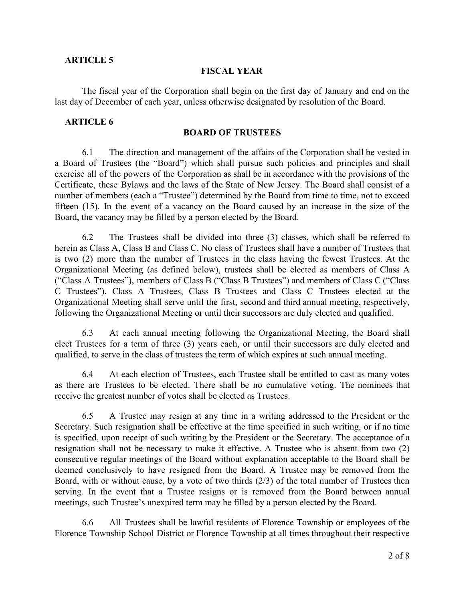## **ARTICLE 5**

### **FISCAL YEAR**

The fiscal year of the Corporation shall begin on the first day of January and end on the last day of December of each year, unless otherwise designated by resolution of the Board.

## **ARTICLE 6**

### **BOARD OF TRUSTEES**

6.1 The direction and management of the affairs of the Corporation shall be vested in a Board of Trustees (the "Board") which shall pursue such policies and principles and shall exercise all of the powers of the Corporation as shall be in accordance with the provisions of the Certificate, these Bylaws and the laws of the State of New Jersey. The Board shall consist of a number of members (each a "Trustee") determined by the Board from time to time, not to exceed fifteen (15). In the event of a vacancy on the Board caused by an increase in the size of the Board, the vacancy may be filled by a person elected by the Board.

6.2 The Trustees shall be divided into three (3) classes, which shall be referred to herein as Class A, Class B and Class C. No class of Trustees shall have a number of Trustees that is two (2) more than the number of Trustees in the class having the fewest Trustees. At the Organizational Meeting (as defined below), trustees shall be elected as members of Class A ("Class A Trustees"), members of Class B ("Class B Trustees") and members of Class C ("Class C Trustees"). Class A Trustees, Class B Trustees and Class C Trustees elected at the Organizational Meeting shall serve until the first, second and third annual meeting, respectively, following the Organizational Meeting or until their successors are duly elected and qualified.

6.3 At each annual meeting following the Organizational Meeting, the Board shall elect Trustees for a term of three (3) years each, or until their successors are duly elected and qualified, to serve in the class of trustees the term of which expires at such annual meeting.

6.4 At each election of Trustees, each Trustee shall be entitled to cast as many votes as there are Trustees to be elected. There shall be no cumulative voting. The nominees that receive the greatest number of votes shall be elected as Trustees.

6.5 A Trustee may resign at any time in a writing addressed to the President or the Secretary. Such resignation shall be effective at the time specified in such writing, or if no time is specified, upon receipt of such writing by the President or the Secretary. The acceptance of a resignation shall not be necessary to make it effective. A Trustee who is absent from two (2) consecutive regular meetings of the Board without explanation acceptable to the Board shall be deemed conclusively to have resigned from the Board. A Trustee may be removed from the Board, with or without cause, by a vote of two thirds (2/3) of the total number of Trustees then serving. In the event that a Trustee resigns or is removed from the Board between annual meetings, such Trustee's unexpired term may be filled by a person elected by the Board.

6.6 All Trustees shall be lawful residents of Florence Township or employees of the Florence Township School District or Florence Township at all times throughout their respective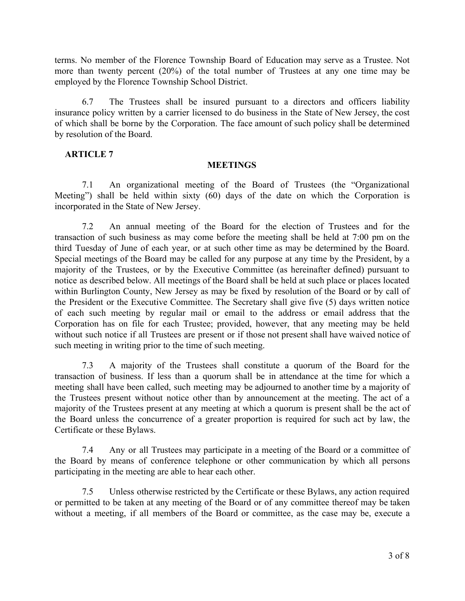terms. No member of the Florence Township Board of Education may serve as a Trustee. Not more than twenty percent (20%) of the total number of Trustees at any one time may be employed by the Florence Township School District.

6.7 The Trustees shall be insured pursuant to a directors and officers liability insurance policy written by a carrier licensed to do business in the State of New Jersey, the cost of which shall be borne by the Corporation. The face amount of such policy shall be determined by resolution of the Board.

## **ARTICLE 7**

## **MEETINGS**

7.1 An organizational meeting of the Board of Trustees (the "Organizational Meeting") shall be held within sixty (60) days of the date on which the Corporation is incorporated in the State of New Jersey.

7.2 An annual meeting of the Board for the election of Trustees and for the transaction of such business as may come before the meeting shall be held at 7:00 pm on the third Tuesday of June of each year, or at such other time as may be determined by the Board. Special meetings of the Board may be called for any purpose at any time by the President, by a majority of the Trustees, or by the Executive Committee (as hereinafter defined) pursuant to notice as described below. All meetings of the Board shall be held at such place or places located within Burlington County, New Jersey as may be fixed by resolution of the Board or by call of the President or the Executive Committee. The Secretary shall give five (5) days written notice of each such meeting by regular mail or email to the address or email address that the Corporation has on file for each Trustee; provided, however, that any meeting may be held without such notice if all Trustees are present or if those not present shall have waived notice of such meeting in writing prior to the time of such meeting.

7.3 A majority of the Trustees shall constitute a quorum of the Board for the transaction of business. If less than a quorum shall be in attendance at the time for which a meeting shall have been called, such meeting may be adjourned to another time by a majority of the Trustees present without notice other than by announcement at the meeting. The act of a majority of the Trustees present at any meeting at which a quorum is present shall be the act of the Board unless the concurrence of a greater proportion is required for such act by law, the Certificate or these Bylaws.

7.4 Any or all Trustees may participate in a meeting of the Board or a committee of the Board by means of conference telephone or other communication by which all persons participating in the meeting are able to hear each other.

7.5 Unless otherwise restricted by the Certificate or these Bylaws, any action required or permitted to be taken at any meeting of the Board or of any committee thereof may be taken without a meeting, if all members of the Board or committee, as the case may be, execute a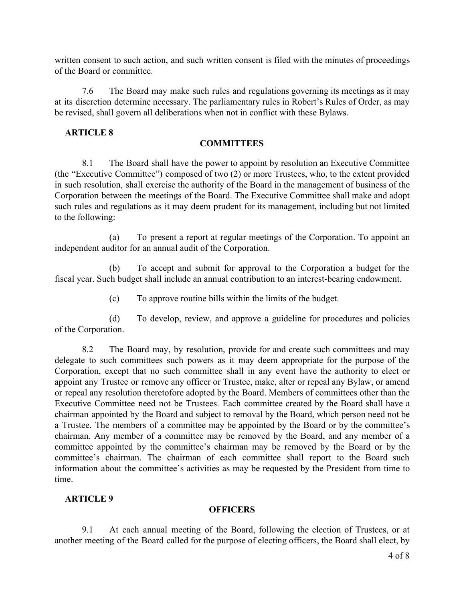written consent to such action, and such written consent is filed with the minutes of proceedings of the Board or committee.

7.6 The Board may make such rules and regulations governing its meetings as it may at its discretion determine necessary. The parliamentary rules in Robert's Rules of Order, as may be revised, shall govern all deliberations when not in conflict with these Bylaws.

## **ARTICLE 8**

# **COMMITTEES**

8.1 The Board shall have the power to appoint by resolution an Executive Committee (the "Executive Committee") composed of two (2) or more Trustees, who, to the extent provided in such resolution, shall exercise the authority of the Board in the management of business of the Corporation between the meetings of the Board. The Executive Committee shall make and adopt such rules and regulations as it may deem prudent for its management, including but not limited to the following:

(a) To present a report at regular meetings of the Corporation. To appoint an independent auditor for an annual audit of the Corporation.

(b) To accept and submit for approval to the Corporation a budget for the fiscal year. Such budget shall include an annual contribution to an interest-bearing endowment.

(c) To approve routine bills within the limits of the budget.

(d) To develop, review, and approve a guideline for procedures and policies of the Corporation.

8.2 The Board may, by resolution, provide for and create such committees and may delegate to such committees such powers as it may deem appropriate for the purpose of the Corporation, except that no such committee shall in any event have the authority to elect or appoint any Trustee or remove any officer or Trustee, make, alter or repeal any Bylaw, or amend or repeal any resolution theretofore adopted by the Board. Members of committees other than the Executive Committee need not be Trustees. Each committee created by the Board shall have a chairman appointed by the Board and subject to removal by the Board, which person need not be a Trustee. The members of a committee may be appointed by the Board or by the committee's chairman. Any member of a committee may be removed by the Board, and any member of a committee appointed by the committee's chairman may be removed by the Board or by the committee's chairman. The chairman of each committee shall report to the Board such information about the committee's activities as may be requested by the President from time to time.

# **ARTICLE 9**

# **OFFICERS**

9.1 At each annual meeting of the Board, following the election of Trustees, or at another meeting of the Board called for the purpose of electing officers, the Board shall elect, by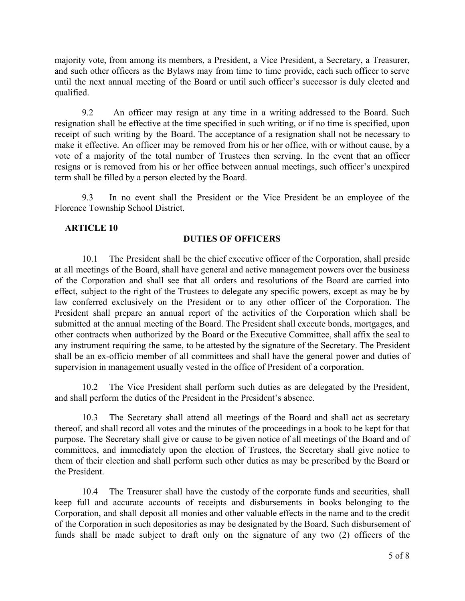majority vote, from among its members, a President, a Vice President, a Secretary, a Treasurer, and such other officers as the Bylaws may from time to time provide, each such officer to serve until the next annual meeting of the Board or until such officer's successor is duly elected and qualified.

9.2 An officer may resign at any time in a writing addressed to the Board. Such resignation shall be effective at the time specified in such writing, or if no time is specified, upon receipt of such writing by the Board. The acceptance of a resignation shall not be necessary to make it effective. An officer may be removed from his or her office, with or without cause, by a vote of a majority of the total number of Trustees then serving. In the event that an officer resigns or is removed from his or her office between annual meetings, such officer's unexpired term shall be filled by a person elected by the Board.

9.3 In no event shall the President or the Vice President be an employee of the Florence Township School District.

## **ARTICLE 10**

### **DUTIES OF OFFICERS**

10.1 The President shall be the chief executive officer of the Corporation, shall preside at all meetings of the Board, shall have general and active management powers over the business of the Corporation and shall see that all orders and resolutions of the Board are carried into effect, subject to the right of the Trustees to delegate any specific powers, except as may be by law conferred exclusively on the President or to any other officer of the Corporation. The President shall prepare an annual report of the activities of the Corporation which shall be submitted at the annual meeting of the Board. The President shall execute bonds, mortgages, and other contracts when authorized by the Board or the Executive Committee, shall affix the seal to any instrument requiring the same, to be attested by the signature of the Secretary. The President shall be an ex-officio member of all committees and shall have the general power and duties of supervision in management usually vested in the office of President of a corporation.

10.2 The Vice President shall perform such duties as are delegated by the President, and shall perform the duties of the President in the President's absence.

10.3 The Secretary shall attend all meetings of the Board and shall act as secretary thereof, and shall record all votes and the minutes of the proceedings in a book to be kept for that purpose. The Secretary shall give or cause to be given notice of all meetings of the Board and of committees, and immediately upon the election of Trustees, the Secretary shall give notice to them of their election and shall perform such other duties as may be prescribed by the Board or the President.

10.4 The Treasurer shall have the custody of the corporate funds and securities, shall keep full and accurate accounts of receipts and disbursements in books belonging to the Corporation, and shall deposit all monies and other valuable effects in the name and to the credit of the Corporation in such depositories as may be designated by the Board. Such disbursement of funds shall be made subject to draft only on the signature of any two (2) officers of the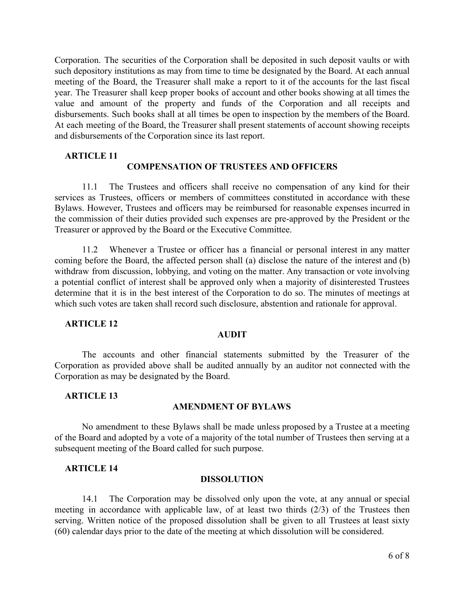Corporation. The securities of the Corporation shall be deposited in such deposit vaults or with such depository institutions as may from time to time be designated by the Board. At each annual meeting of the Board, the Treasurer shall make a report to it of the accounts for the last fiscal year. The Treasurer shall keep proper books of account and other books showing at all times the value and amount of the property and funds of the Corporation and all receipts and disbursements. Such books shall at all times be open to inspection by the members of the Board. At each meeting of the Board, the Treasurer shall present statements of account showing receipts and disbursements of the Corporation since its last report.

## **ARTICLE 11**

## **COMPENSATION OF TRUSTEES AND OFFICERS**

11.1 The Trustees and officers shall receive no compensation of any kind for their services as Trustees, officers or members of committees constituted in accordance with these Bylaws. However, Trustees and officers may be reimbursed for reasonable expenses incurred in the commission of their duties provided such expenses are pre-approved by the President or the Treasurer or approved by the Board or the Executive Committee.

11.2 Whenever a Trustee or officer has a financial or personal interest in any matter coming before the Board, the affected person shall (a) disclose the nature of the interest and (b) withdraw from discussion, lobbying, and voting on the matter. Any transaction or vote involving a potential conflict of interest shall be approved only when a majority of disinterested Trustees determine that it is in the best interest of the Corporation to do so. The minutes of meetings at which such votes are taken shall record such disclosure, abstention and rationale for approval.

### **ARTICLE 12**

### **AUDIT**

The accounts and other financial statements submitted by the Treasurer of the Corporation as provided above shall be audited annually by an auditor not connected with the Corporation as may be designated by the Board.

### **ARTICLE 13**

### **AMENDMENT OF BYLAWS**

No amendment to these Bylaws shall be made unless proposed by a Trustee at a meeting of the Board and adopted by a vote of a majority of the total number of Trustees then serving at a subsequent meeting of the Board called for such purpose.

### **ARTICLE 14**

### **DISSOLUTION**

14.1 The Corporation may be dissolved only upon the vote, at any annual or special meeting in accordance with applicable law, of at least two thirds (2/3) of the Trustees then serving. Written notice of the proposed dissolution shall be given to all Trustees at least sixty (60) calendar days prior to the date of the meeting at which dissolution will be considered.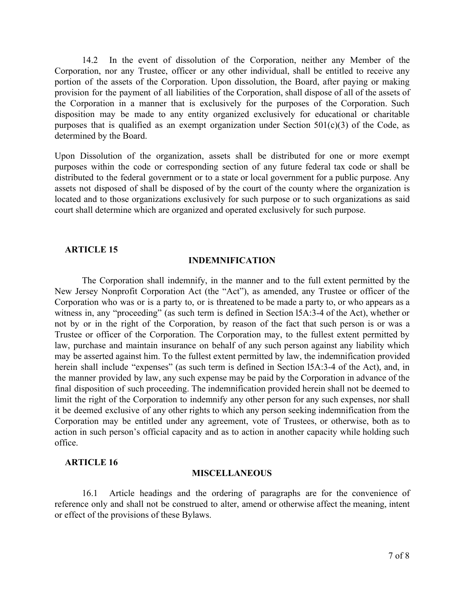14.2 In the event of dissolution of the Corporation, neither any Member of the Corporation, nor any Trustee, officer or any other individual, shall be entitled to receive any portion of the assets of the Corporation. Upon dissolution, the Board, after paying or making provision for the payment of all liabilities of the Corporation, shall dispose of all of the assets of the Corporation in a manner that is exclusively for the purposes of the Corporation. Such disposition may be made to any entity organized exclusively for educational or charitable purposes that is qualified as an exempt organization under Section  $501(c)(3)$  of the Code, as determined by the Board.

Upon Dissolution of the organization, assets shall be distributed for one or more exempt purposes within the code or corresponding section of any future federal tax code or shall be distributed to the federal government or to a state or local government for a public purpose. Any assets not disposed of shall be disposed of by the court of the county where the organization is located and to those organizations exclusively for such purpose or to such organizations as said court shall determine which are organized and operated exclusively for such purpose.

#### **ARTICLE 15**

#### **INDEMNIFICATION**

The Corporation shall indemnify, in the manner and to the full extent permitted by the New Jersey Nonprofit Corporation Act (the "Act"), as amended, any Trustee or officer of the Corporation who was or is a party to, or is threatened to be made a party to, or who appears as a witness in, any "proceeding" (as such term is defined in Section l5A:3-4 of the Act), whether or not by or in the right of the Corporation, by reason of the fact that such person is or was a Trustee or officer of the Corporation. The Corporation may, to the fullest extent permitted by law, purchase and maintain insurance on behalf of any such person against any liability which may be asserted against him. To the fullest extent permitted by law, the indemnification provided herein shall include "expenses" (as such term is defined in Section 15A:3-4 of the Act), and, in the manner provided by law, any such expense may be paid by the Corporation in advance of the final disposition of such proceeding. The indemnification provided herein shall not be deemed to limit the right of the Corporation to indemnify any other person for any such expenses, nor shall it be deemed exclusive of any other rights to which any person seeking indemnification from the Corporation may be entitled under any agreement, vote of Trustees, or otherwise, both as to action in such person's official capacity and as to action in another capacity while holding such office.

## **ARTICLE 16**

### **MISCELLANEOUS**

16.1 Article headings and the ordering of paragraphs are for the convenience of reference only and shall not be construed to alter, amend or otherwise affect the meaning, intent or effect of the provisions of these Bylaws.